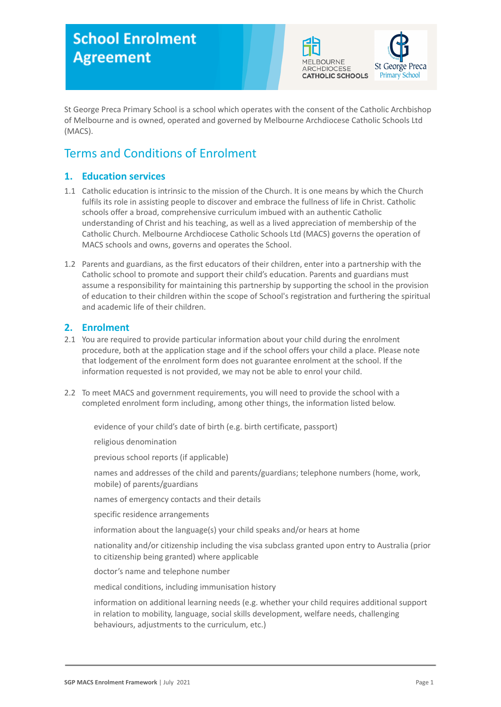# **School Enrolment Agreement**



St George Preca Primary School is a school which operates with the consent of the Catholic Archbishop of Melbourne and is owned, operated and governed by Melbourne Archdiocese Catholic Schools Ltd (MACS).

# Terms and Conditions of Enrolment

# **1. Education services**

- 1.1 Catholic education is intrinsic to the mission of the Church. It is one means by which the Church fulfils its role in assisting people to discover and embrace the fullness of life in Christ. Catholic schools offer a broad, comprehensive curriculum imbued with an authentic Catholic understanding of Christ and his teaching, as well as a lived appreciation of membership of the Catholic Church. Melbourne Archdiocese Catholic Schools Ltd (MACS) governs the operation of MACS schools and owns, governs and operates the School.
- 1.2 Parents and guardians, as the first educators of their children, enter into a partnership with the Catholic school to promote and support their child's education. Parents and guardians must assume a responsibility for maintaining this partnership by supporting the school in the provision of education to their children within the scope of School's registration and furthering the spiritual and academic life of their children.

### **2. Enrolment**

- 2.1 You are required to provide particular information about your child during the enrolment procedure, both at the application stage and if the school offers your child a place. Please note that lodgement of the enrolment form does not guarantee enrolment at the school. If the information requested is not provided, we may not be able to enrol your child.
- 2.2 To meet MACS and government requirements, you will need to provide the school with a completed enrolment form including, among other things, the information listed below.

evidence of your child's date of birth (e.g. birth certificate, passport)

religious denomination

previous school reports (if applicable)

names and addresses of the child and parents/guardians; telephone numbers (home, work, mobile) of parents/guardians

names of emergency contacts and their details

specific residence arrangements

information about the language(s) your child speaks and/or hears at home

nationality and/or citizenship including the visa subclass granted upon entry to Australia (prior to citizenship being granted) where applicable

doctor's name and telephone number

medical conditions, including immunisation history

information on additional learning needs (e.g. whether your child requires additional support in relation to mobility, language, social skills development, welfare needs, challenging behaviours, adjustments to the curriculum, etc.)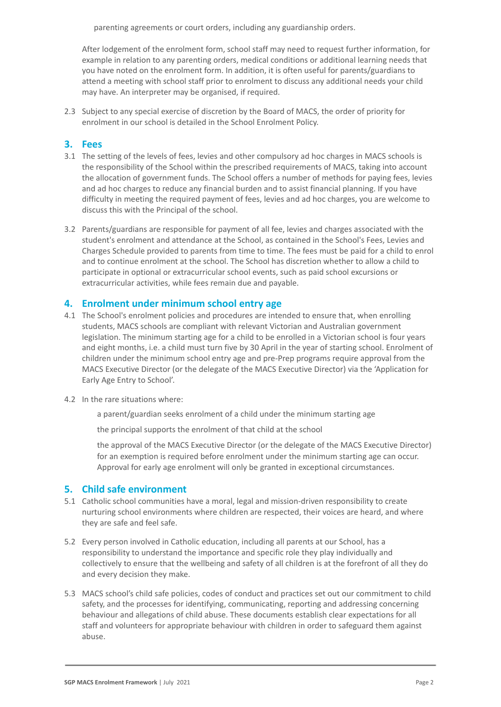parenting agreements or court orders, including any guardianship orders.

After lodgement of the enrolment form, school staff may need to request further information, for example in relation to any parenting orders, medical conditions or additional learning needs that you have noted on the enrolment form. In addition, it is often useful for parents/guardians to attend a meeting with school staff prior to enrolment to discuss any additional needs your child may have. An interpreter may be organised, if required.

2.3 Subject to any special exercise of discretion by the Board of MACS, the order of priority for enrolment in our school is detailed in the School Enrolment Policy.

#### **3. Fees**

- 3.1 The setting of the levels of fees, levies and other compulsory ad hoc charges in MACS schools is the responsibility of the School within the prescribed requirements of MACS, taking into account the allocation of government funds. The School offers a number of methods for paying fees, levies and ad hoc charges to reduce any financial burden and to assist financial planning. If you have difficulty in meeting the required payment of fees, levies and ad hoc charges, you are welcome to discuss this with the Principal of the school.
- 3.2 Parents/guardians are responsible for payment of all fee, levies and charges associated with the student's enrolment and attendance at the School, as contained in the School's Fees, Levies and Charges Schedule provided to parents from time to time. The fees must be paid for a child to enrol and to continue enrolment at the school. The School has discretion whether to allow a child to participate in optional or extracurricular school events, such as paid school excursions or extracurricular activities, while fees remain due and payable.

#### **4. Enrolment under minimum school entry age**

- 4.1 The School's enrolment policies and procedures are intended to ensure that, when enrolling students, MACS schools are compliant with relevant Victorian and Australian government legislation. The minimum starting age for a child to be enrolled in a Victorian school is four years and eight months, i.e. a child must turn five by 30 April in the year of starting school. Enrolment of children under the minimum school entry age and pre-Prep programs require approval from the MACS Executive Director (or the delegate of the MACS Executive Director) via the 'Application for Early Age Entry to School'.
- 4.2 In the rare situations where:

a parent/guardian seeks enrolment of a child under the minimum starting age

the principal supports the enrolment of that child at the school

the approval of the MACS Executive Director (or the delegate of the MACS Executive Director) for an exemption is required before enrolment under the minimum starting age can occur. Approval for early age enrolment will only be granted in exceptional circumstances.

#### **5. Child safe environment**

- 5.1 Catholic school communities have a moral, legal and mission-driven responsibility to create nurturing school environments where children are respected, their voices are heard, and where they are safe and feel safe.
- 5.2 Every person involved in Catholic education, including all parents at our School, has a responsibility to understand the importance and specific role they play individually and collectively to ensure that the wellbeing and safety of all children is at the forefront of all they do and every decision they make.
- 5.3 MACS school's child safe policies, codes of conduct and practices set out our commitment to child safety, and the processes for identifying, communicating, reporting and addressing concerning behaviour and allegations of child abuse. These documents establish clear expectations for all staff and volunteers for appropriate behaviour with children in order to safeguard them against abuse.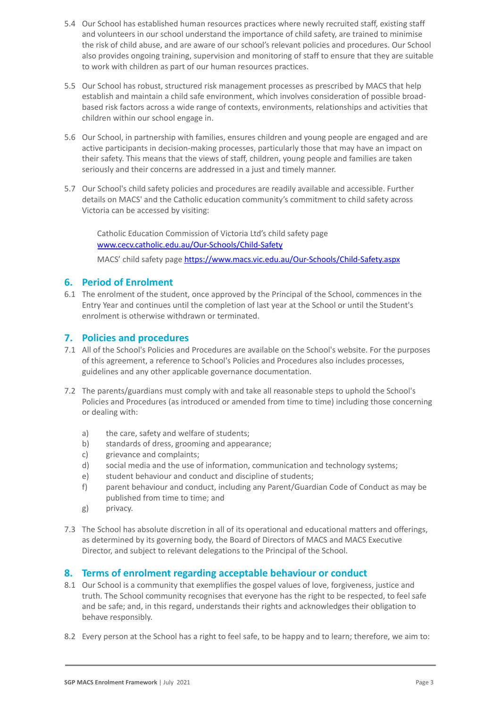- 5.4 Our School has established human resources practices where newly recruited staff, existing staff and volunteers in our school understand the importance of child safety, are trained to minimise the risk of child abuse, and are aware of our school's relevant policies and procedures. Our School also provides ongoing training, supervision and monitoring of staff to ensure that they are suitable to work with children as part of our human resources practices.
- 5.5 Our School has robust, structured risk management processes as prescribed by MACS that help establish and maintain a child safe environment, which involves consideration of possible broadbased risk factors across a wide range of contexts, environments, relationships and activities that children within our school engage in.
- 5.6 Our School, in partnership with families, ensures children and young people are engaged and are active participants in decision-making processes, particularly those that may have an impact on their safety. This means that the views of staff, children, young people and families are taken seriously and their concerns are addressed in a just and timely manner.
- 5.7 Our School's child safety policies and procedures are readily available and accessible. Further details on MACS' and the Catholic education community's commitment to child safety across Victoria can be accessed by visiting:

Catholic Education Commission of Victoria Ltd's child safety page [www.cecv.catholic.edu.au/Our-Schools/Child-Safety](http://www.cecv.catholic.edu.au/Our-Schools/Child-Safety)

MACS' child safety page <https://www.macs.vic.edu.au/Our-Schools/Child-Safety.aspx>

# **6. Period of Enrolment**

6.1 The enrolment of the student, once approved by the Principal of the School, commences in the Entry Year and continues until the completion of last year at the School or until the Student's enrolment is otherwise withdrawn or terminated.

### **7. Policies and procedures**

- 7.1 All of the School's Policies and Procedures are available on the School's website. For the purposes of this agreement, a reference to School's Policies and Procedures also includes processes, guidelines and any other applicable governance documentation.
- 7.2 The parents/guardians must comply with and take all reasonable steps to uphold the School's Policies and Procedures (as introduced or amended from time to time) including those concerning or dealing with:
	- a) the care, safety and welfare of students;
	- b) standards of dress, grooming and appearance;
	- c) grievance and complaints;
	- d) social media and the use of information, communication and technology systems;
	- e) student behaviour and conduct and discipline of students;
	- f) parent behaviour and conduct, including any Parent/Guardian Code of Conduct as may be published from time to time; and
	- g) privacy.
- 7.3 The School has absolute discretion in all of its operational and educational matters and offerings, as determined by its governing body, the Board of Directors of MACS and MACS Executive Director, and subject to relevant delegations to the Principal of the School.

# **8. Terms of enrolment regarding acceptable behaviour or conduct**

- 8.1 Our School is a community that exemplifies the gospel values of love, forgiveness, justice and truth. The School community recognises that everyone has the right to be respected, to feel safe and be safe; and, in this regard, understands their rights and acknowledges their obligation to behave responsibly.
- 8.2 Every person at the School has a right to feel safe, to be happy and to learn; therefore, we aim to: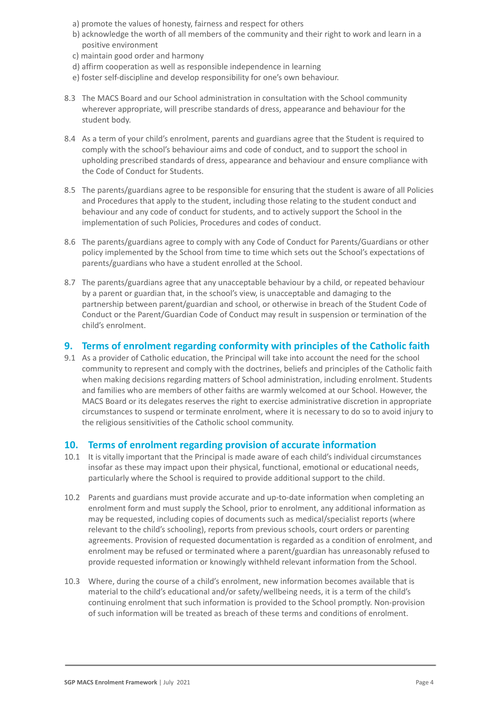- a) promote the values of honesty, fairness and respect for others
- b) acknowledge the worth of all members of the community and their right to work and learn in a positive environment
- c) maintain good order and harmony
- d) affirm cooperation as well as responsible independence in learning
- e) foster self-discipline and develop responsibility for one's own behaviour.
- 8.3 The MACS Board and our School administration in consultation with the School community wherever appropriate, will prescribe standards of dress, appearance and behaviour for the student body.
- 8.4 As a term of your child's enrolment, parents and guardians agree that the Student is required to comply with the school's behaviour aims and code of conduct, and to support the school in upholding prescribed standards of dress, appearance and behaviour and ensure compliance with the Code of Conduct for Students.
- 8.5 The parents/guardians agree to be responsible for ensuring that the student is aware of all Policies and Procedures that apply to the student, including those relating to the student conduct and behaviour and any code of conduct for students, and to actively support the School in the implementation of such Policies, Procedures and codes of conduct.
- 8.6 The parents/guardians agree to comply with any Code of Conduct for Parents/Guardians or other policy implemented by the School from time to time which sets out the School's expectations of parents/guardians who have a student enrolled at the School.
- 8.7 The parents/guardians agree that any unacceptable behaviour by a child, or repeated behaviour by a parent or guardian that, in the school's view, is unacceptable and damaging to the partnership between parent/guardian and school, or otherwise in breach of the Student Code of Conduct or the Parent/Guardian Code of Conduct may result in suspension or termination of the child's enrolment.

### **9. Terms of enrolment regarding conformity with principles of the Catholic faith**

9.1 As a provider of Catholic education, the Principal will take into account the need for the school community to represent and comply with the doctrines, beliefs and principles of the Catholic faith when making decisions regarding matters of School administration, including enrolment. Students and families who are members of other faiths are warmly welcomed at our School. However, the MACS Board or its delegates reserves the right to exercise administrative discretion in appropriate circumstances to suspend or terminate enrolment, where it is necessary to do so to avoid injury to the religious sensitivities of the Catholic school community.

#### **10. Terms of enrolment regarding provision of accurate information**

- 10.1 It is vitally important that the Principal is made aware of each child's individual circumstances insofar as these may impact upon their physical, functional, emotional or educational needs, particularly where the School is required to provide additional support to the child.
- 10.2 Parents and guardians must provide accurate and up-to-date information when completing an enrolment form and must supply the School, prior to enrolment, any additional information as may be requested, including copies of documents such as medical/specialist reports (where relevant to the child's schooling), reports from previous schools, court orders or parenting agreements. Provision of requested documentation is regarded as a condition of enrolment, and enrolment may be refused or terminated where a parent/guardian has unreasonably refused to provide requested information or knowingly withheld relevant information from the School.
- 10.3 Where, during the course of a child's enrolment, new information becomes available that is material to the child's educational and/or safety/wellbeing needs, it is a term of the child's continuing enrolment that such information is provided to the School promptly. Non-provision of such information will be treated as breach of these terms and conditions of enrolment.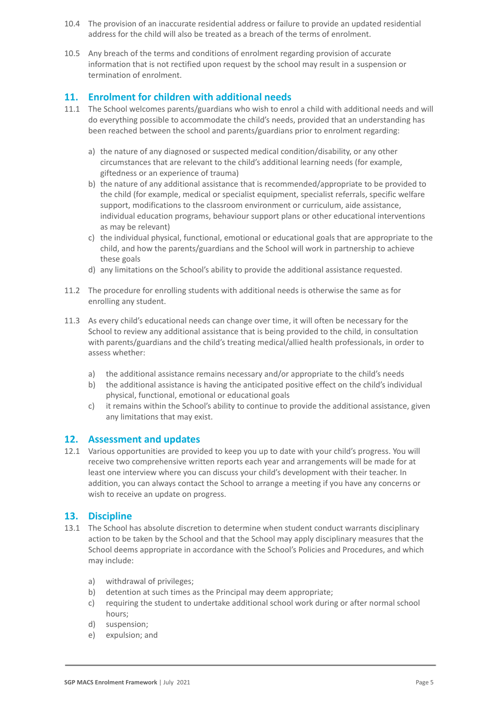- 10.4 The provision of an inaccurate residential address or failure to provide an updated residential address for the child will also be treated as a breach of the terms of enrolment.
- 10.5 Any breach of the terms and conditions of enrolment regarding provision of accurate information that is not rectified upon request by the school may result in a suspension or termination of enrolment.

# **11. Enrolment for children with additional needs**

- 11.1 The School welcomes parents/guardians who wish to enrol a child with additional needs and will do everything possible to accommodate the child's needs, provided that an understanding has been reached between the school and parents/guardians prior to enrolment regarding:
	- a) the nature of any diagnosed or suspected medical condition/disability, or any other circumstances that are relevant to the child's additional learning needs (for example, giftedness or an experience of trauma)
	- b) the nature of any additional assistance that is recommended/appropriate to be provided to the child (for example, medical or specialist equipment, specialist referrals, specific welfare support, modifications to the classroom environment or curriculum, aide assistance, individual education programs, behaviour support plans or other educational interventions as may be relevant)
	- c) the individual physical, functional, emotional or educational goals that are appropriate to the child, and how the parents/guardians and the School will work in partnership to achieve these goals
	- d) any limitations on the School's ability to provide the additional assistance requested.
- 11.2 The procedure for enrolling students with additional needs is otherwise the same as for enrolling any student.
- 11.3 As every child's educational needs can change over time, it will often be necessary for the School to review any additional assistance that is being provided to the child, in consultation with parents/guardians and the child's treating medical/allied health professionals, in order to assess whether:
	- a) the additional assistance remains necessary and/or appropriate to the child's needs
	- b) the additional assistance is having the anticipated positive effect on the child's individual physical, functional, emotional or educational goals
	- c) it remains within the School's ability to continue to provide the additional assistance, given any limitations that may exist.

#### **12. Assessment and updates**

12.1 Various opportunities are provided to keep you up to date with your child's progress. You will receive two comprehensive written reports each year and arrangements will be made for at least one interview where you can discuss your child's development with their teacher. In addition, you can always contact the School to arrange a meeting if you have any concerns or wish to receive an update on progress.

#### **13. Discipline**

- 13.1 The School has absolute discretion to determine when student conduct warrants disciplinary action to be taken by the School and that the School may apply disciplinary measures that the School deems appropriate in accordance with the School's Policies and Procedures, and which may include:
	- a) withdrawal of privileges;
	- b) detention at such times as the Principal may deem appropriate;
	- c) requiring the student to undertake additional school work during or after normal school hours;
	- d) suspension;
	- e) expulsion; and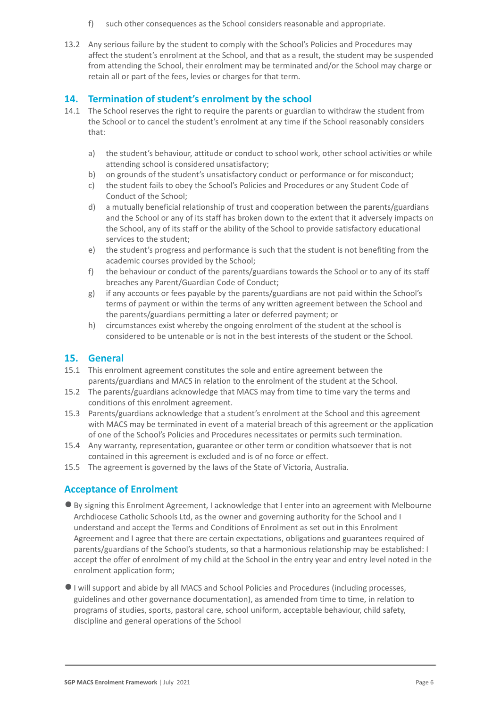- f) such other consequences as the School considers reasonable and appropriate.
- 13.2 Any serious failure by the student to comply with the School's Policies and Procedures may affect the student's enrolment at the School, and that as a result, the student may be suspended from attending the School, their enrolment may be terminated and/or the School may charge or retain all or part of the fees, levies or charges for that term.

## **14. Termination of student's enrolment by the school**

- 14.1 The School reserves the right to require the parents or guardian to withdraw the student from the School or to cancel the student's enrolment at any time if the School reasonably considers that:
	- a) the student's behaviour, attitude or conduct to school work, other school activities or while attending school is considered unsatisfactory;
	- b) on grounds of the student's unsatisfactory conduct or performance or for misconduct;
	- c) the student fails to obey the School's Policies and Procedures or any Student Code of Conduct of the School;
	- d) a mutually beneficial relationship of trust and cooperation between the parents/guardians and the School or any of its staff has broken down to the extent that it adversely impacts on the School, any of its staff or the ability of the School to provide satisfactory educational services to the student;
	- e) the student's progress and performance is such that the student is not benefiting from the academic courses provided by the School;
	- f) the behaviour or conduct of the parents/guardians towards the School or to any of its staff breaches any Parent/Guardian Code of Conduct;
	- g) if any accounts or fees payable by the parents/guardians are not paid within the School's terms of payment or within the terms of any written agreement between the School and the parents/guardians permitting a later or deferred payment; or
	- h) circumstances exist whereby the ongoing enrolment of the student at the school is considered to be untenable or is not in the best interests of the student or the School.

#### **15. General**

- 15.1 This enrolment agreement constitutes the sole and entire agreement between the parents/guardians and MACS in relation to the enrolment of the student at the School.
- 15.2 The parents/guardians acknowledge that MACS may from time to time vary the terms and conditions of this enrolment agreement.
- 15.3 Parents/guardians acknowledge that a student's enrolment at the School and this agreement with MACS may be terminated in event of a material breach of this agreement or the application of one of the School's Policies and Procedures necessitates or permits such termination.
- 15.4 Any warranty, representation, guarantee or other term or condition whatsoever that is not contained in this agreement is excluded and is of no force or effect.
- 15.5 The agreement is governed by the laws of the State of Victoria, Australia.

# **Acceptance of Enrolment**

- ●By signing this Enrolment Agreement, I acknowledge that I enter into an agreement with Melbourne Archdiocese Catholic Schools Ltd, as the owner and governing authority for the School and I understand and accept the Terms and Conditions of Enrolment as set out in this Enrolment Agreement and I agree that there are certain expectations, obligations and guarantees required of parents/guardians of the School's students, so that a harmonious relationship may be established: I accept the offer of enrolment of my child at the School in the entry year and entry level noted in the enrolment application form;
- ●I will support and abide by all MACS and School Policies and Procedures (including processes, guidelines and other governance documentation), as amended from time to time, in relation to programs of studies, sports, pastoral care, school uniform, acceptable behaviour, child safety, discipline and general operations of the School